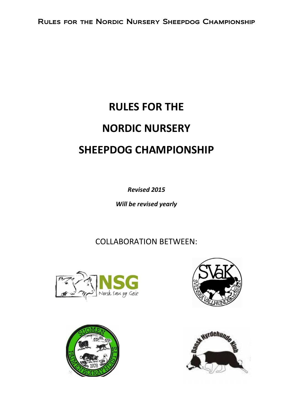# RULES FOR THE NORDIC NURSERY SHEEPDOG CHAMPIONSHIP

Revised 2015

Will be revised yearly

COLLABORATION BETWEEN:







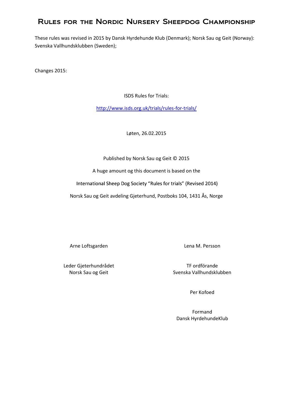# Rules for the Nordic Nursery Sheepdog Championship

These rules was revised in 2015 by Dansk Hyrdehunde Klub (Denmark); Norsk Sau og Geit (Norway): Svenska Vallhundsklubben (Sweden);

Changes 2015:

ISDS Rules for Trials:

http://www.isds.org.uk/trials/rules-for-trials/

Løten, 26.02.2015

Published by Norsk Sau og Geit © 2015

A huge amount og this document is based on the

International Sheep Dog Society "Rules for trials" (Revised 2014)

Norsk Sau og Geit avdeling Gjeterhund, Postboks 104, 1431 Ås, Norge

Arne Loftsgarden and Lena M. Persson

Leder Gjeterhundrådet TF ordförande

Norsk Sau og Geit Svenska Vallhundsklubben

Per Kofoed

Formand Dansk HyrdehundeKlub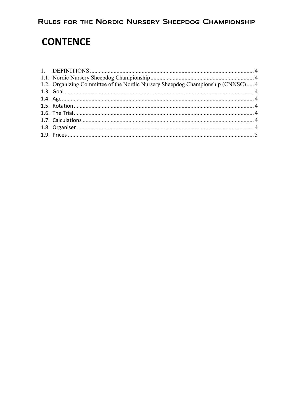# **CONTENCE**

| 1.2. Organizing Committee of the Nordic Nursery Sheepdog Championship (CNNSC) 4 |  |
|---------------------------------------------------------------------------------|--|
|                                                                                 |  |
|                                                                                 |  |
|                                                                                 |  |
|                                                                                 |  |
|                                                                                 |  |
|                                                                                 |  |
|                                                                                 |  |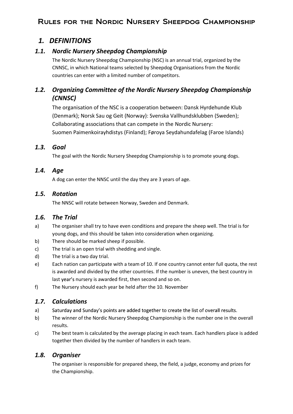# Rules for the Nordic Nursery Sheepdog Championship

## 1. DEFINITIONS

#### 1.1. Nordic Nursery Sheepdog Championship

The Nordic Nursery Sheepdog Championship (NSC) is an annual trial, organized by the CNNSC, in which National teams selected by Sheepdog Organisations from the Nordic countries can enter with a limited number of competitors.

#### 1.2. Organizing Committee of the Nordic Nursery Sheepdog Championship (CNNSC)

The organisation of the NSC is a cooperation between: Dansk Hyrdehunde Klub (Denmark); Norsk Sau og Geit (Norway): Svenska Vallhundsklubben (Sweden); Collaborating associations that can compete in the Nordic Nursery: Suomen Paimenkoirayhdistys (Finland); Føroya Seydahundafelag (Faroe Islands)

#### 1.3. Goal

The goal with the Nordic Nursery Sheepdog Championship is to promote young dogs.

#### 1.4. Age

A dog can enter the NNSC until the day they are 3 years of age.

#### 1.5. Rotation

The NNSC will rotate between Norway, Sweden and Denmark.

#### 1.6. The Trial

- a) The organiser shall try to have even conditions and prepare the sheep well. The trial is for young dogs, and this should be taken into consideration when organizing.
- b) There should be marked sheep if possible.
- c) The trial is an open trial with shedding and single.
- d) The trial is a two day trial.
- e) Each nation can participate with a team of 10. If one country cannot enter full quota, the rest is awarded and divided by the other countries. If the number is uneven, the best country in last year's nursery is awarded first, then second and so on.
- f) The Nursery should each year be held after the 10. November

#### 1.7. Calculations

- a) Saturday and Sunday's points are added together to create the list of overall results.
- b) The winner of the Nordic Nursery Sheepdog Championship is the number one in the overall results.
- c) The best team is calculated by the average placing in each team. Each handlers place is added together then divided by the number of handlers in each team.

#### 1.8. Organiser

The organiser is responsible for prepared sheep, the field, a judge, economy and prizes for the Championship.